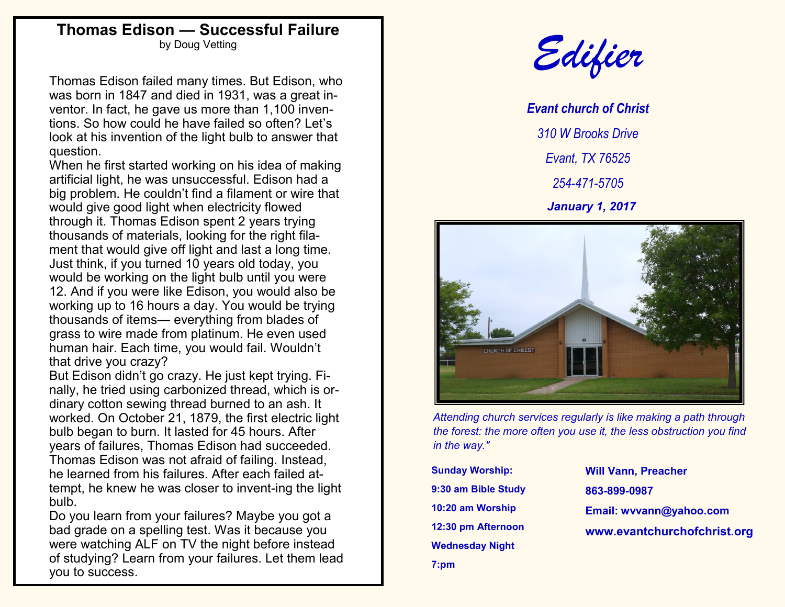## **Thomas Edison — Successful Failure** by Doug Vetting

Thomas Edison failed many times. But Edison, who was born in 1847 and died in 1931, was a great inventor. In fact, he gave us more than 1,100 inventions. So how could he have failed so often? Let's look at his invention of the light bulb to answer that question.

When he first started working on his idea of making artificial light, he was unsuccessful. Edison had a big problem. He couldn't find a filament or wire that would give good light when electricity flowed through it. Thomas Edison spent 2 years trying thousands of materials, looking for the right filament that would give off light and last a long time. Just think, if you turned 10 years old today, you would be working on the light bulb until you were 12. And if you were like Edison, you would also be working up to 16 hours a day. You would be trying thousands of items— everything from blades of grass to wire made from platinum. He even used human hair. Each time, you would fail. Wouldn't that drive you crazy?

But Edison didn't go crazy. He just kept trying. Finally, he tried using carbonized thread, which is ordinary cotton sewing thread burned to an ash. It worked. On October 21, 1879, the first electric light bulb began to burn. It lasted for 45 hours. After years of failures, Thomas Edison had succeeded. Thomas Edison was not afraid of failing. Instead, he learned from his failures. After each failed attempt, he knew he was closer to invent-ing the light bulb.

Do you learn from your failures? Maybe you got a bad grade on a spelling test. Was it because you were watching ALF on TV the night before instead of studying? Learn from your failures. Let them lead you to success.



*Evant church of Christ 310 W Brooks Drive Evant, TX 76525 254-471-5705 January 1, 2017*



*Attending church services regularly is like making a path through the forest: the more often you use it, the less obstruction you find in the way."*

**Sunday Worship: 9:30 am Bible Study 10:20 am Worship 12:30 pm Afternoon Wednesday Night 7:pm**

**Will Vann, Preacher 863-899-0987 Email: wvvann@yahoo.com www.evantchurchofchrist.org**